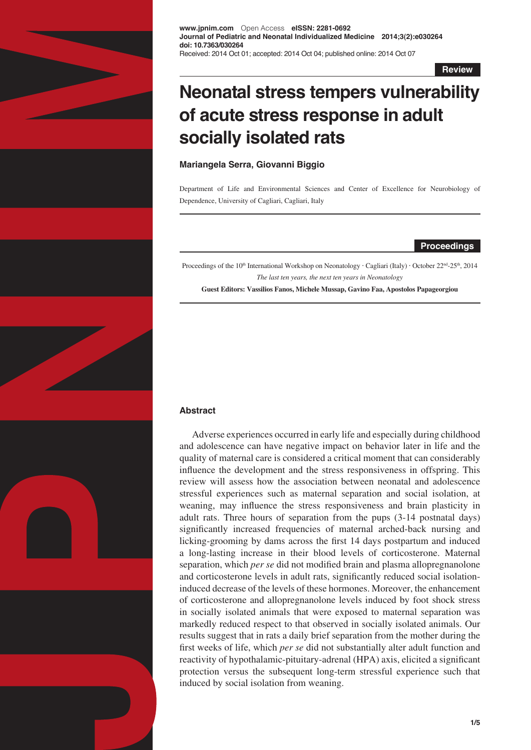

**www.jpnim.com** Open Access **eISSN: 2281-0692 Journal of Pediatric and Neonatal Individualized Medicine 2014;3(2):e030264 doi: 10.7363/030264** Received: 2014 Oct 01; accepted: 2014 Oct 04; published online: 2014 Oct 07

**Review**

# **Neonatal stress tempers vulnerability of acute stress response in adult socially isolated rats**

**Mariangela Serra, Giovanni Biggio**

Department of Life and Environmental Sciences and Center of Excellence for Neurobiology of Dependence, University of Cagliari, Cagliari, Italy

## **Proceedings**

Proceedings of the 10<sup>th</sup> International Workshop on Neonatology · Cagliari (Italy) · October 22<sup>nd</sup>-25<sup>th</sup>, 2014 *The last ten years, the next ten years in Neonatology*

**Guest Editors: Vassilios Fanos, Michele Mussap, Gavino Faa, Apostolos Papageorgiou**

## **Abstract**

Adverse experiences occurred in early life and especially during childhood and adolescence can have negative impact on behavior later in life and the quality of maternal care is considered a critical moment that can considerably influence the development and the stress responsiveness in offspring. This review will assess how the association between neonatal and adolescence stressful experiences such as maternal separation and social isolation, at weaning, may influence the stress responsiveness and brain plasticity in adult rats. Three hours of separation from the pups (3-14 postnatal days) significantly increased frequencies of maternal arched-back nursing and licking-grooming by dams across the first 14 days postpartum and induced a long-lasting increase in their blood levels of corticosterone. Maternal separation, which *per se* did not modified brain and plasma allopregnanolone and corticosterone levels in adult rats, significantly reduced social isolationinduced decrease of the levels of these hormones. Moreover, the enhancement of corticosterone and allopregnanolone levels induced by foot shock stress in socially isolated animals that were exposed to maternal separation was markedly reduced respect to that observed in socially isolated animals. Our results suggest that in rats a daily brief separation from the mother during the first weeks of life, which *per se* did not substantially alter adult function and reactivity of hypothalamic-pituitary-adrenal (HPA) axis, elicited a significant protection versus the subsequent long-term stressful experience such that induced by social isolation from weaning.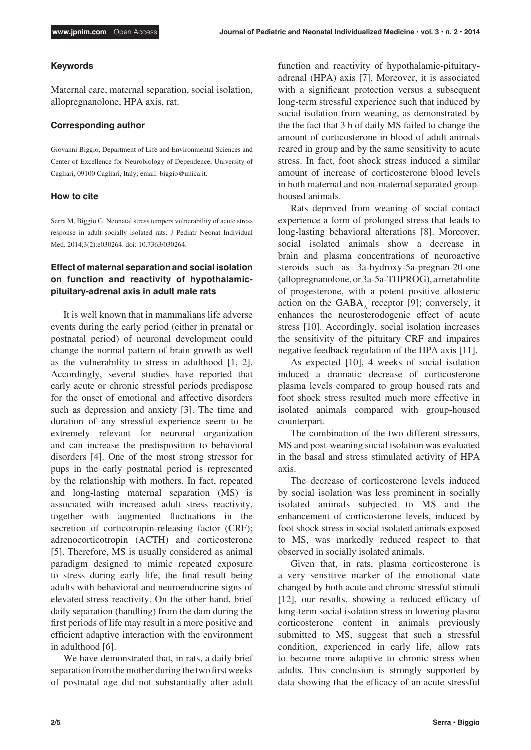## **Keywords**

Maternal care, maternal separation, social isolation, allopregnanolone, HPA axis, rat.

## **Corresponding author**

Giovanni Biggio, Department of Life and Environmental Sciences and Center of Excellence for Neurobiology of Dependence, University of Cagliari, 09100 Cagliari, Italy; email: biggio@unica.it.

## **How to cite**

Serra M, Biggio G. Neonatal stress tempers vulnerability of acute stress response in adult socially isolated rats. J Pediatr Neonat Individual Med. 2014;3(2):e030264. doi: 10.7363/030264.

# **Effect of maternal separation and social isolation on function and reactivity of hypothalamicpituitary-adrenal axis in adult male rats**

It is well known that in mammalians life adverse events during the early period (either in prenatal or postnatal period) of neuronal development could change the normal pattern of brain growth as well as the vulnerability to stress in adulthood [1, 2]. Accordingly, several studies have reported that early acute or chronic stressful periods predispose for the onset of emotional and affective disorders such as depression and anxiety [3]. The time and duration of any stressful experience seem to be extremely relevant for neuronal organization and can increase the predisposition to behavioral disorders [4]. One of the most strong stressor for pups in the early postnatal period is represented by the relationship with mothers. In fact, repeated and long-lasting maternal separation (MS) is associated with increased adult stress reactivity, together with augmented fluctuations in the secretion of corticotropin-releasing factor (CRF); adrenocorticotropin (ACTH) and corticosterone [5]. Therefore, MS is usually considered as animal paradigm designed to mimic repeated exposure to stress during early life, the final result being adults with behavioral and neuroendocrine signs of elevated stress reactivity. On the other hand, brief daily separation (handling) from the dam during the first periods of life may result in a more positive and efficient adaptive interaction with the environment in adulthood [6].

We have demonstrated that, in rats, a daily brief separation from the mother during the two first weeks of postnatal age did not substantially alter adult function and reactivity of hypothalamic-pituitaryadrenal (HPA) axis [7]. Moreover, it is associated with a significant protection versus a subsequent long-term stressful experience such that induced by social isolation from weaning, as demonstrated by the the fact that 3 h of daily MS failed to change the amount of corticosterone in blood of adult animals reared in group and by the same sensitivity to acute stress. In fact, foot shock stress induced a similar amount of increase of corticosterone blood levels in both maternal and non-maternal separated grouphoused animals.

Rats deprived from weaning of social contact experience a form of prolonged stress that leads to long-lasting behavioral alterations [8]. Moreover, social isolated animals show a decrease in brain and plasma concentrations of neuroactive steroids such as 3a-hydroxy-5a-pregnan-20-one (allopregnanolone, or 3a-5a-THPROG), a metabolite of progesterone, with a potent positive allosteric action on the  $GABA_A$  receptor [9]; conversely, it enhances the neurosterodogenic effect of acute stress [10]. Accordingly, social isolation increases the sensitivity of the pituitary CRF and impaires negative feedback regulation of the HPA axis [11].

As expected [10], 4 weeks of social isolation induced a dramatic decrease of corticosterone plasma levels compared to group housed rats and foot shock stress resulted much more effective in isolated animals compared with group-housed counterpart.

The combination of the two different stressors, MS and post-weaning social isolation was evaluated in the basal and stress stimulated activity of HPA axis.

The decrease of corticosterone levels induced by social isolation was less prominent in socially isolated animals subjected to MS and the enhancement of corticosterone levels, induced by foot shock stress in social isolated animals exposed to MS, was markedly reduced respect to that observed in socially isolated animals.

Given that, in rats, plasma corticosterone is a very sensitive marker of the emotional state changed by both acute and chronic stressful stimuli [12], our results, showing a reduced efficacy of long-term social isolation stress in lowering plasma corticosterone content in animals previously submitted to MS, suggest that such a stressful condition, experienced in early life, allow rats to become more adaptive to chronic stress when adults. This conclusion is strongly supported by data showing that the efficacy of an acute stressful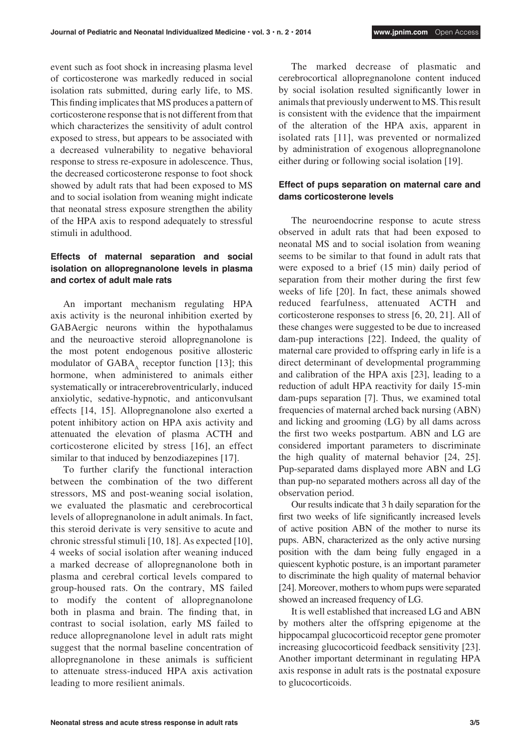event such as foot shock in increasing plasma level of corticosterone was markedly reduced in social isolation rats submitted, during early life, to MS. This finding implicates that MS produces a pattern of corticosterone response that is not different from that which characterizes the sensitivity of adult control exposed to stress, but appears to be associated with a decreased vulnerability to negative behavioral response to stress re-exposure in adolescence. Thus, the decreased corticosterone response to foot shock showed by adult rats that had been exposed to MS and to social isolation from weaning might indicate that neonatal stress exposure strengthen the ability of the HPA axis to respond adequately to stressful stimuli in adulthood.

# **Effects of maternal separation and social isolation on allopregnanolone levels in plasma and cortex of adult male rats**

An important mechanism regulating HPA axis activity is the neuronal inhibition exerted by GABAergic neurons within the hypothalamus and the neuroactive steroid allopregnanolone is the most potent endogenous positive allosteric modulator of  $GABA<sub>A</sub>$  receptor function [13]; this hormone, when administered to animals either systematically or intracerebroventricularly, induced anxiolytic, sedative-hypnotic, and anticonvulsant effects [14, 15]. Allopregnanolone also exerted a potent inhibitory action on HPA axis activity and attenuated the elevation of plasma ACTH and corticosterone elicited by stress [16], an effect similar to that induced by benzodiazepines [17].

To further clarify the functional interaction between the combination of the two different stressors, MS and post-weaning social isolation, we evaluated the plasmatic and cerebrocortical levels of allopregnanolone in adult animals. In fact, this steroid derivate is very sensitive to acute and chronic stressful stimuli [10, 18]. As expected [10], 4 weeks of social isolation after weaning induced a marked decrease of allopregnanolone both in plasma and cerebral cortical levels compared to group-housed rats. On the contrary, MS failed to modify the content of allopregnanolone both in plasma and brain. The finding that, in contrast to social isolation, early MS failed to reduce allopregnanolone level in adult rats might suggest that the normal baseline concentration of allopregnanolone in these animals is sufficient to attenuate stress-induced HPA axis activation leading to more resilient animals.

The marked decrease of plasmatic and cerebrocortical allopregnanolone content induced by social isolation resulted significantly lower in animals that previously underwent to MS. This result is consistent with the evidence that the impairment of the alteration of the HPA axis, apparent in isolated rats [11], was prevented or normalized by administration of exogenous allopregnanolone either during or following social isolation [19].

# **Effect of pups separation on maternal care and dams corticosterone levels**

The neuroendocrine response to acute stress observed in adult rats that had been exposed to neonatal MS and to social isolation from weaning seems to be similar to that found in adult rats that were exposed to a brief (15 min) daily period of separation from their mother during the first few weeks of life [20]. In fact, these animals showed reduced fearfulness, attenuated ACTH and corticosterone responses to stress [6, 20, 21]. All of these changes were suggested to be due to increased dam-pup interactions [22]. Indeed, the quality of maternal care provided to offspring early in life is a direct determinant of developmental programming and calibration of the HPA axis [23], leading to a reduction of adult HPA reactivity for daily 15-min dam-pups separation [7]. Thus, we examined total frequencies of maternal arched back nursing (ABN) and licking and grooming (LG) by all dams across the first two weeks postpartum. ABN and LG are considered important parameters to discriminate the high quality of maternal behavior [24, 25]. Pup-separated dams displayed more ABN and LG than pup-no separated mothers across all day of the observation period.

Our results indicate that 3 h daily separation for the first two weeks of life significantly increased levels of active position ABN of the mother to nurse its pups. ABN, characterized as the only active nursing position with the dam being fully engaged in a quiescent kyphotic posture, is an important parameter to discriminate the high quality of maternal behavior [24]. Moreover, mothers to whom pups were separated showed an increased frequency of LG.

It is well established that increased LG and ABN by mothers alter the offspring epigenome at the hippocampal glucocorticoid receptor gene promoter increasing glucocorticoid feedback sensitivity [23]. Another important determinant in regulating HPA axis response in adult rats is the postnatal exposure to glucocorticoids.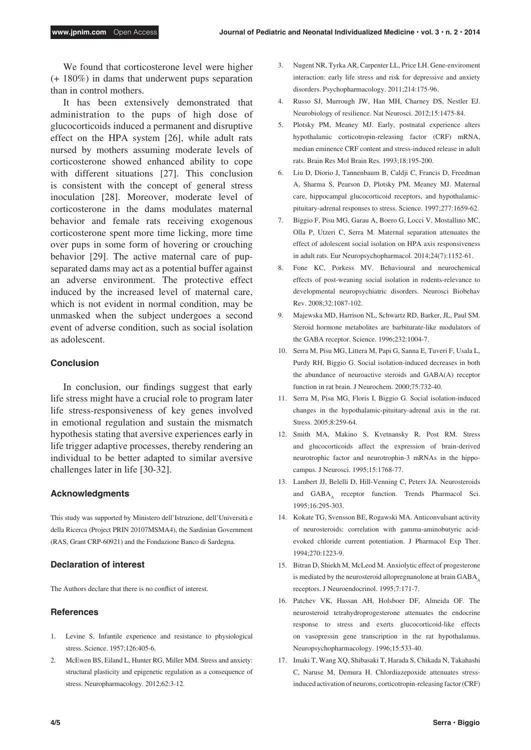We found that corticosterone level were higher (+ 180%) in dams that underwent pups separation than in control mothers.

It has been extensively demonstrated that administration to the pups of high dose of glucocorticoids induced a permanent and disruptive effect on the HPA system [26], while adult rats nursed by mothers assuming moderate levels of corticosterone showed enhanced ability to cope with different situations [27]. This conclusion is consistent with the concept of general stress inoculation [28]. Moreover, moderate level of corticosterone in the dams modulates maternal behavior and female rats receiving exogenous corticosterone spent more time licking, more time over pups in some form of hovering or crouching behavior [29]. The active maternal care of pupseparated dams may act as a potential buffer against an adverse environment. The protective effect induced by the increased level of maternal care, which is not evident in normal condition, may be unmasked when the subject undergoes a second event of adverse condition, such as social isolation as adolescent.

## **Conclusion**

In conclusion, our findings suggest that early life stress might have a crucial role to program later life stress-responsiveness of key genes involved in emotional regulation and sustain the mismatch hypothesis stating that aversive experiences early in life trigger adaptive processes, thereby rendering an individual to be better adapted to similar aversive challenges later in life [30-32].

#### **Acknowledgments**

This study was supported by Ministero dell'Istruzione, dell'Università e della Ricerca (Project PRIN 20107MSMA4), the Sardinian Government (RAS, Grant CRP-60921) and the Fondazione Banco di Sardegna.

#### **Declaration of interest**

The Authors declare that there is no conflict of interest.

#### **References**

- 1. Levine S, Infantile experience and resistance to physiological stress. Science. 1957;126:405-6.
- 2. McEwen BS, Eiland L, Hunter RG, Miller MM. Stress and anxiety: structural plasticity and epigenetic regulation as a consequence of stress. Neuropharmacology. 2012;62:3-12.
- 3. Nugent NR, Tyrka AR, Carpenter LL, Price LH. Gene-enviroment interaction: early life stress and risk for depressive and anxiety disorders. Psychopharmacology. 2011;214:175-96.
- 4. Russo SJ, Murrough JW, Han MH, Charney DS, Nestler EJ. Neurobiology of resilience. Nat Neurosci. 2012;15:1475-84.
- 5. Plotsky PM, Meaney MJ. Early, postnatal experience alters hypothalamic corticotropin-releasing factor (CRF) mRNA, median eminence CRF content and stress-induced release in adult rats. Brain Res Mol Brain Res. 1993;18:195-200.
- 6. Liu D, Diorio J, Tannenbaum B, Caldji C, Francis D, Freedman A, Sharma S, Pearson D, Plotsky PM, Meaney MJ. Maternal care, hippocampal glucocorticoid receptors, and hypothalamicpituitary-adrenal responses to stress. Science. 1997;277:1659-62.
- 7. Biggio F, Pisu MG, Garau A, Boero G, Locci V, Mostallino MC, Olla P, Utzeri C, Serra M. Maternal separation attenuates the effect of adolescent social isolation on HPA axis responsiveness in adult rats. Eur Neuropsychopharmacol. 2014;24(7):1152-61.
- 8. Fone KC, Porkess MV. Behavioural and neurochemical effects of post-weaning social isolation in rodents-relevance to developmental neuropsychiatric disorders. Neurosci Biobehav Rev. 2008;32:1087-102.
- 9. Majewska MD, Harrison NL, Schwartz RD, Barker, JL, Paul SM. Steroid hormone metabolites are barbiturate-like modulators of the GABA receptor. Science. 1996;232:1004-7.
- 10. Serra M, Pisu MG, Littera M, Papi G, Sanna E, Tuveri F, Usala L, Purdy RH, Biggio G. Social isolation-induced decreases in both the abundance of neuroactive steroids and GABA(A) receptor function in rat brain. J Neurochem. 2000;75:732-40.
- 11. Serra M, Pisu MG, Floris I, Biggio G. Social isolation-induced changes in the hypothalamic-pituitary-adrenal axis in the rat. Stress. 2005;8:259-64.
- 12. Smith MA, Makino S, Kvetnansky R, Post RM. Stress and glucocorticoids affect the expression of brain-derived neurotrophic factor and neurotrophin-3 mRNAs in the hippocampus. J Neurosci. 1995;15:1768-77.
- 13. Lambert JJ, Belelli D, Hill-Venning C, Peters JA. Neurosteroids and GABA, receptor function. Trends Pharmacol Sci. 1995;16:295-303.
- 14. Kokate TG, Svensson BE, Rogawski MA. Anticonvulsant activity of neurosteroids: correlation with gamma-aminobutyric acidevoked chloride current potentiation. J Pharmacol Exp Ther.  $1994.270.1223.9$
- 15. Bitran D, Shiekh M, McLeod M. Anxiolytic effect of progesterone is mediated by the neurosteroid allopregnanolone at brain  $GABA_A$ receptors. J Neuroendocrinol. 1995;7:171-7.
- 16. Patchev VK, Hassan AH, Holsboer DF, Almeida OF. The neurosteroid tetrahydroprogesterone attenuates the endocrine response to stress and exerts glucocorticoid-like effects on vasopressin gene transcription in the rat hypothalamus. Neuropsychopharmacology. 1996;15:533-40.
- 17. Imaki T, Wang XQ, Shibasaki T, Harada S, Chikada N, Takahashi C, Naruse M, Demura H. Chlordiazepoxide attenuates stressinduced activation of neurons, corticotropin-releasing factor (CRF)